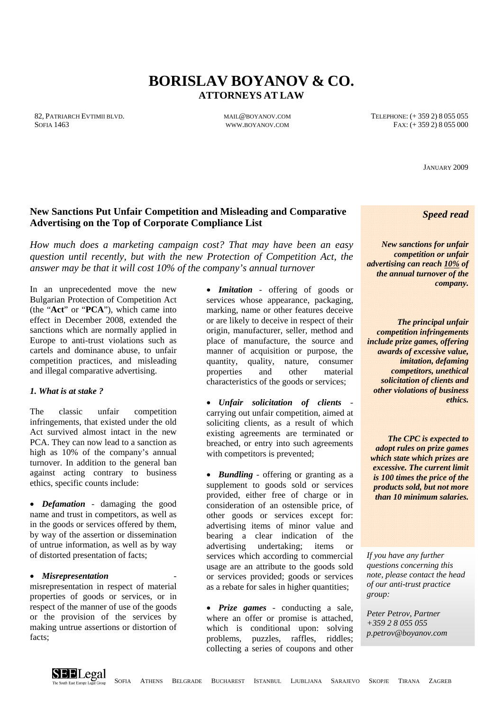# **BORISLAV BOYANOV & CO. ATTORNEYS AT LAW**

82, PATRIARCH EVTIMII BLVD. **MALL**@BOYANOV.COM TELEPHONE: (+359 2) 8 055 055 055 SOFIA 1463 **WWW.BOYANOV.COM** FAX: (+ 359 2) 8 055 000

JANUARY 2009

# **New Sanctions Put Unfair Competition and Misleading and Comparative Advertising on the Top of Corporate Compliance List**

*How much does a marketing campaign cost? That may have been an easy question until recently, but with the new Protection of Competition Act, the answer may be that it will cost 10% of the company's annual turnover* 

In an unprecedented move the new Bulgarian Protection of Competition Act (the "**Act**" or "**PCA**"), which came into effect in December 2008, extended the sanctions which are normally applied in Europe to anti-trust violations such as cartels and dominance abuse, to unfair competition practices, and misleading and illegal comparative advertising.

#### *1. What is at stake ?*

The classic unfair competition infringements, that existed under the old Act survived almost intact in the new PCA. They can now lead to a sanction as high as 10% of the company's annual turnover. In addition to the general ban against acting contrary to business ethics, specific counts include:

• *Defamation* - damaging the good name and trust in competitors, as well as in the goods or services offered by them, by way of the assertion or dissemination of untrue information, as well as by way of distorted presentation of facts;

#### • *Misrepresentation* -

misrepresentation in respect of material properties of goods or services, or in respect of the manner of use of the goods or the provision of the services by making untrue assertions or distortion of facts;

• *Imitation* - offering of goods or services whose appearance, packaging, marking, name or other features deceive or are likely to deceive in respect of their origin, manufacturer, seller, method and place of manufacture, the source and manner of acquisition or purpose, the quantity, quality, nature, consumer properties and other material characteristics of the goods or services;

• *Unfair solicitation of clients* carrying out unfair competition, aimed at soliciting clients, as a result of which existing agreements are terminated or breached, or entry into such agreements with competitors is prevented;

• *Bundling* - offering or granting as a supplement to goods sold or services provided, either free of charge or in consideration of an ostensible price, of other goods or services except for: advertising items of minor value and bearing a clear indication of the advertising undertaking; items or services which according to commercial usage are an attribute to the goods sold or services provided; goods or services as a rebate for sales in higher quantities;

• *Prize games* - conducting a sale, where an offer or promise is attached, which is conditional upon: solving problems, puzzles, raffles, riddles; collecting a series of coupons and other

*Speed read* 

*New sanctions for unfair competition or unfair advertising can reach 10% of the annual turnover of the company.* 

*The principal unfair competition infringements include prize games, offering awards of excessive value, imitation, defaming competitors, unethical solicitation of clients and other violations of business ethics.* 

*The CPC is expected to adopt rules on prize games which state which prizes are excessive. The current limit is 100 times the price of the products sold, but not more than 10 minimum salaries.*

*If you have any further questions concerning this note, please contact the head of our anti-trust practice group:* 

*Peter Petrov, Partner +359 2 8 055 055 p.petrov@boyanov.com*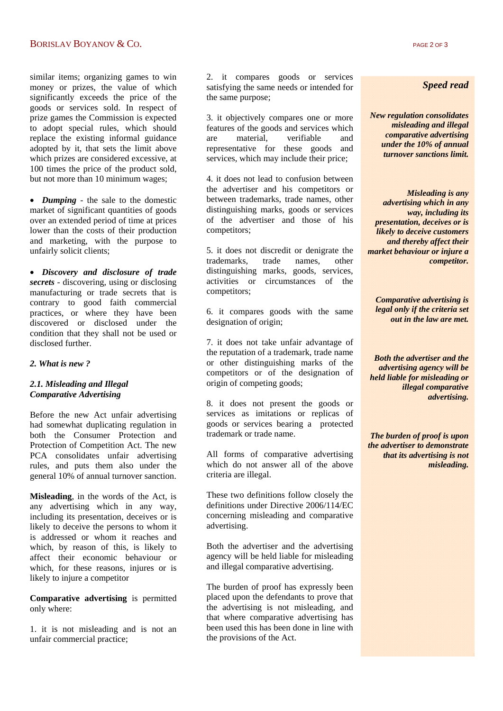### BORISLAV BOYANOV  $\&$  CO. PAGE 2 OF 3

similar items; organizing games to win money or prizes, the value of which significantly exceeds the price of the goods or services sold. In respect of prize games the Commission is expected to adopt special rules, which should replace the existing informal guidance adopted by it, that sets the limit above which prizes are considered excessive, at 100 times the price of the product sold, but not more than 10 minimum wages;

• *Dumping* - the sale to the domestic market of significant quantities of goods over an extended period of time at prices lower than the costs of their production and marketing, with the purpose to unfairly solicit clients;

• *Discovery and disclosure of trade secrets* - discovering, using or disclosing manufacturing or trade secrets that is contrary to good faith commercial practices, or where they have been discovered or disclosed under the condition that they shall not be used or disclosed further.

#### *2. What is new ?*

#### *2.1. Misleading and Illegal Comparative Advertising*

Before the new Act unfair advertising had somewhat duplicating regulation in both the Consumer Protection and Protection of Competition Act. The new PCA consolidates unfair advertising rules, and puts them also under the general 10% of annual turnover sanction.

**Misleading**, in the words of the Act, is any advertising which in any way, including its presentation, deceives or is likely to deceive the persons to whom it is addressed or whom it reaches and which, by reason of this, is likely to affect their economic behaviour or which, for these reasons, injures or is likely to injure a competitor

**Comparative advertising** is permitted only where:

1. it is not misleading and is not an unfair commercial practice;

2. it compares goods or services satisfying the same needs or intended for the same purpose;

3. it objectively compares one or more features of the goods and services which are material, verifiable and representative for these goods and services, which may include their price;

4. it does not lead to confusion between the advertiser and his competitors or between trademarks, trade names, other distinguishing marks, goods or services of the advertiser and those of his competitors;

5. it does not discredit or denigrate the trademarks, trade names, other distinguishing marks, goods, services, activities or circumstances of the competitors;

6. it compares goods with the same designation of origin;

7. it does not take unfair advantage of the reputation of a trademark, trade name or other distinguishing marks of the competitors or of the designation of origin of competing goods;

8. it does not present the goods or services as imitations or replicas of goods or services bearing a protected trademark or trade name.

All forms of comparative advertising which do not answer all of the above criteria are illegal.

These two definitions follow closely the definitions under Directive 2006/114/EC concerning misleading and comparative advertising.

Both the advertiser and the advertising agency will be held liable for misleading and illegal comparative advertising.

The burden of proof has expressly been placed upon the defendants to prove that the advertising is not misleading, and that where comparative advertising has been used this has been done in line with the provisions of the Act.

#### *Speed read*

*New regulation consolidates misleading and illegal comparative advertising under the 10% of annual turnover sanctions limit.* 

*Misleading is any advertising which in any way, including its presentation, deceives or is likely to deceive customers and thereby affect their market behaviour or injure a competitor.* 

*Comparative advertising is legal only if the criteria set out in the law are met.* 

*Both the advertiser and the advertising agency will be held liable for misleading or illegal comparative advertising.* 

*The burden of proof is upon the advertiser to demonstrate that its advertising is not misleading.*